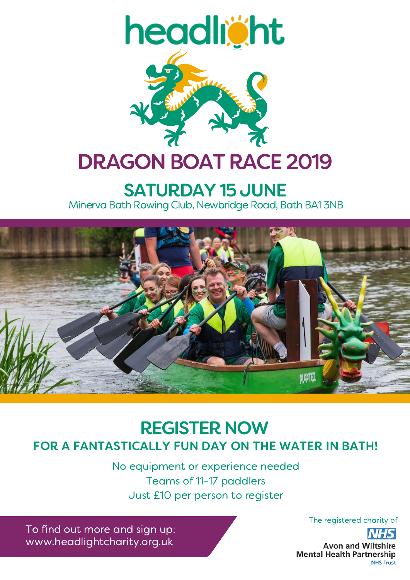

## **SATURDAY 15 JUNE** Minerva Bath Rowing Club, Newbridge Road, Bath BA1 3NB



# FOR A FANTASTICALLY FUN DAY ON THE WATER IN BATH! REGISTER NOW

No equipment or experience needed Teams of 11-17 paddlers Just £10 per person to register

To find out more and sign up: www.headlightcharity.org.uk

The registered charity of

**Avon and Wiltshire Mental Health Partnership NHS Trust**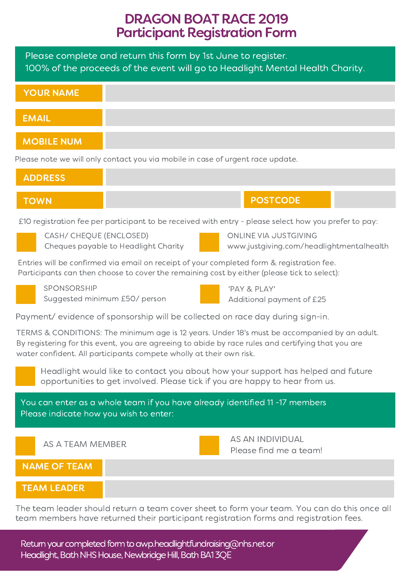## DRAGON BOAT RACE 2019 Participant Registration Form

Please complete and return this form by 1st June to register. 100% of the proceeds of the event will go to Headlight Mental Health Charity.

| YOUR NAME         |  |
|-------------------|--|
|                   |  |
| <b>EMAIL</b>      |  |
|                   |  |
| <b>MOBILE NUM</b> |  |

Please note we will only contact you via mobile in case of urgent race update.

|                                                                                                                                                                                          | <b>ADDRESS</b>          |                                      |  |                                                                   |  |
|------------------------------------------------------------------------------------------------------------------------------------------------------------------------------------------|-------------------------|--------------------------------------|--|-------------------------------------------------------------------|--|
| <b>TOWN</b>                                                                                                                                                                              |                         |                                      |  | <b>POSTCODE</b>                                                   |  |
| £10 registration fee per participant to be received with entry - please select how you prefer to pay:                                                                                    |                         |                                      |  |                                                                   |  |
|                                                                                                                                                                                          | CASH/ CHEQUE (ENCLOSED) | Cheques payable to Headlight Charity |  | ONLINE VIA JUSTGIVING<br>www.justgiving.com/headlightmentalhealth |  |
| Entries will be confirmed via email on receipt of your completed form & registration fee.<br>Participants can then choose to cover the remaining cost by either (please tick to select): |                         |                                      |  |                                                                   |  |
|                                                                                                                                                                                          | SPONSORSHIP             | Suggested minimum £50/ person        |  | 'PAY & PLAY'<br>Additional payment of £25                         |  |
|                                                                                                                                                                                          |                         |                                      |  |                                                                   |  |

Payment/ evidence of sponsorship will be collected on race day during sign-in.

TERMS & CONDITIONS: The minimum age is 12 years. Under 18's must be accompanied by an adult. By registering for this event, you are agreeing to abide by race rules and certifying that you are water confident. All participants compete wholly at their own risk.

Headlight would like to contact you about how your support has helped and future opportunities to get involved. Please tick if you are happy to hear from us.

You can enter as a whole team if you have already identified 11 -17 members Please indicate how you wish to enter:

AS A TEAM MEMBER

YOUR CHARGE

AS AN INDIVIDUAL Please find me a team!

NAME OF TEAM

#### TEAM LEADER

The team leader should return a team cover sheet to form your team. You can do this once all team members have returned their participant registration forms and registration fees.

Return your completed form to awp.headlightfundraising@nhs.net or Headlight, Bath NHS House, Newbridge Hill, Bath BA13QE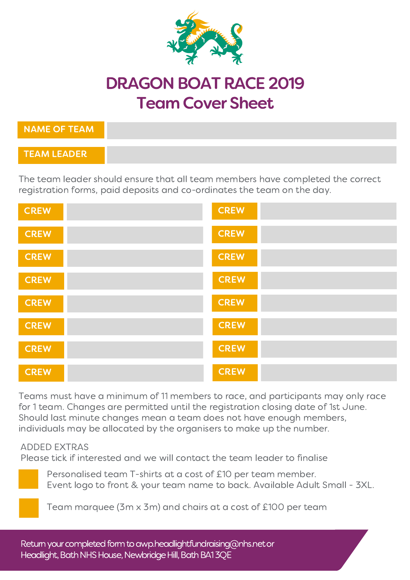

# DRAGON BOAT RACE 2019 TeamCover Sheet

| NAME OF TEAM  |  |
|---------------|--|
| TEAM LEADER \ |  |

The team leader should ensure that all team members have completed the correct registration forms, paid deposits and co-ordinates the team on the day.

| <b>CREW</b> | <b>CREW</b> |
|-------------|-------------|
| <b>CREW</b> | <b>CREW</b> |
| <b>CREW</b> | <b>CREW</b> |
| <b>CREW</b> | <b>CREW</b> |
| <b>CREW</b> | <b>CREW</b> |
| <b>CREW</b> | <b>CREW</b> |
| <b>CREW</b> | <b>CREW</b> |
| <b>CREW</b> | <b>CREW</b> |

Teams must have a minimum of 11 members to race, and participants may only race for 1 team. Changes are permitted until the registration closing date of 1st June. Should last minute changes mean a team does not have enough members, individuals may be allocated by the organisers to make up the number.

#### ADDED EXTRAS

Please tick if interested and we will contact the team leader to finalise



Personalised team T-shirts at a cost of £10 per team member. Event logo to front & your team name to back. Available Adult Small - 3XL.

Team marquee (3m x 3m) and chairs at a cost of £100 per team